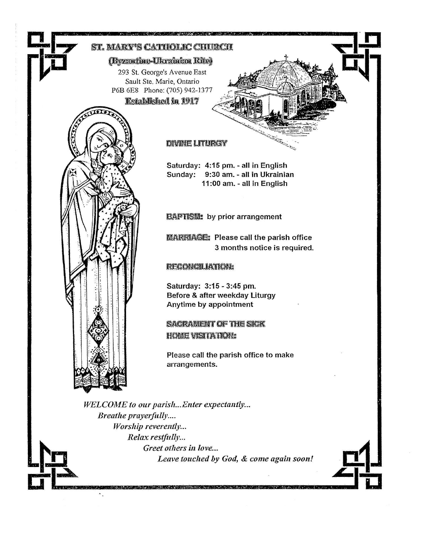

Leave touched by God, & come again soon!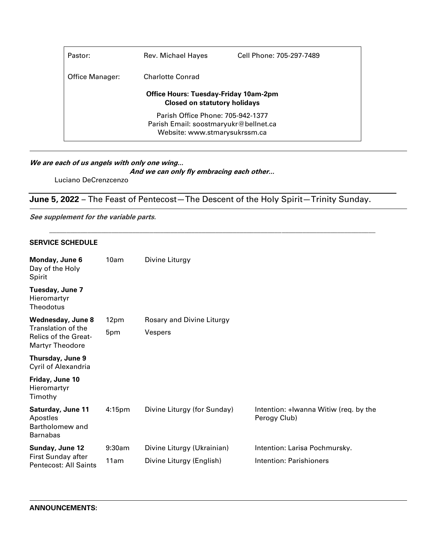| Pastor:                                                                             | Rev. Michael Hayes | Cell Phone: 705-297-7489 |  |  |
|-------------------------------------------------------------------------------------|--------------------|--------------------------|--|--|
| Office Manager:                                                                     | Charlotte Conrad   |                          |  |  |
| <b>Office Hours: Tuesday-Friday 10am-2pm</b><br><b>Closed on statutory holidays</b> |                    |                          |  |  |
| Parish Office Phone: 705-942-1377                                                   |                    |                          |  |  |
| Parish Email: soostmaryukr@bellnet.ca                                               |                    |                          |  |  |
| Website: www.stmarysukrssm.ca                                                       |                    |                          |  |  |
|                                                                                     |                    |                          |  |  |

### **We are each of us angels with only one wing...**

**And we can only fly embracing each other...**

Luciano DeCrenzcenzo

# **June 5, 2022** – The Feast of Pentecost—The Descent of the Holy Spirit—Trinity Sunday.

\_\_\_\_\_\_\_\_\_\_\_\_\_\_\_\_\_\_\_\_\_\_\_\_\_\_\_\_\_\_\_\_\_\_\_\_\_\_\_\_\_\_\_\_\_\_\_\_\_\_\_\_\_\_\_\_\_\_\_\_\_\_\_\_\_\_\_\_\_\_\_\_\_\_\_\_\_\_\_\_\_\_\_\_\_\_\_\_\_\_\_\_\_\_

**See supplement for the variable parts.**

#### **SERVICE SCHEDULE**

| Monday, June 6<br>Day of the Holy<br>Spirit                                                                    | 10am               | Divine Liturgy              |                                                       |
|----------------------------------------------------------------------------------------------------------------|--------------------|-----------------------------|-------------------------------------------------------|
| Tuesday, June 7<br>Hieromartyr<br>Theodotus                                                                    |                    |                             |                                                       |
| <b>Wednesday, June 8</b><br><b>Translation of the</b><br><b>Relics of the Great-</b><br><b>Martyr Theodore</b> | 12pm               | Rosary and Divine Liturgy   |                                                       |
|                                                                                                                | 5pm                | Vespers                     |                                                       |
| Thursday, June 9<br>Cyril of Alexandria                                                                        |                    |                             |                                                       |
| Friday, June 10<br>Hieromartyr<br>Timothy                                                                      |                    |                             |                                                       |
| Saturday, June 11<br>Apostles<br>Bartholomew and<br><b>Barnabas</b>                                            | 4:15 <sub>pm</sub> | Divine Liturgy (for Sunday) | Intention: +Iwanna Witiw (req. by the<br>Perogy Club) |
| Sunday, June 12<br>First Sunday after<br>Pentecost: All Saints                                                 | 9:30am             | Divine Liturgy (Ukrainian)  | Intention: Larisa Pochmursky.                         |
|                                                                                                                | 11am               | Divine Liturgy (English)    | Intention: Parishioners                               |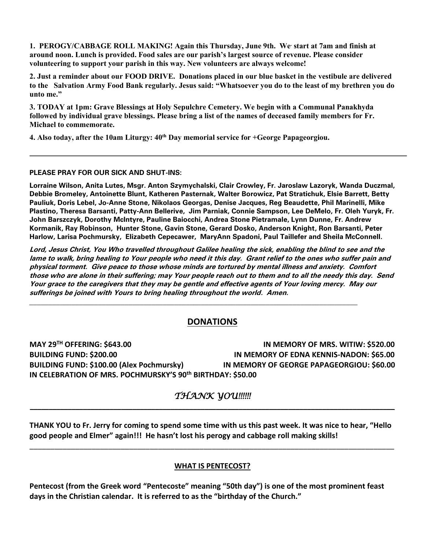**1. PEROGY/CABBAGE ROLL MAKING! Again this Thursday, June 9th. We. start at 7am and finish at around noon. Lunch is provided. Food sales are our parish's largest source of revenue. Please consider volunteering to support your parish in this way. New volunteers are always welcome!**

**2. Just a reminder about our FOOD DRIVE. Donations placed in our blue basket in the vestibule are delivered to the Salvation Army Food Bank regularly. Jesus said: "Whatsoever you do to the least of my brethren you do unto me."**

**3. TODAY at 1pm: Grave Blessings at Holy Sepulchre Cemetery. We begin with a Communal Panakhyda followed by individual grave blessings. Please bring a list of the names of deceased family members for Fr. Michael to commemorate.** 

**4. Also today, after the 10am Liturgy: 40th Day memorial service for +George Papageorgiou.** 

#### **PLEASE PRAY FOR OUR SICK AND SHUT-INS:**

**Lorraine Wilson, Anita Lutes, Msgr. Anton Szymychalski, Clair Crowley, Fr. Jaroslaw Lazoryk, Wanda Duczmal, Debbie Bromeley, Antoinette Blunt, Katheren Pasternak, Walter Borowicz, Pat Stratichuk, Elsie Barrett, Betty Pauliuk, Doris Lebel, Jo-Anne Stone, Nikolaos Georgas, Denise Jacques, Reg Beaudette, Phil Marinelli, Mike Plastino, Theresa Barsanti, Patty-Ann Bellerive, Jim Parniak, Connie Sampson, Lee DeMelo, Fr. Oleh Yuryk, Fr. John Barszczyk, Dorothy McIntyre, Pauline Baiocchi, Andrea Stone Pietramale, Lynn Dunne, Fr. Andrew Kormanik, Ray Robinson, Hunter Stone, Gavin Stone, Gerard Dosko, Anderson Knight, Ron Barsanti, Peter Harlow, Larisa Pochmursky, Elizabeth Cepecawer, MaryAnn Spadoni, Paul Taillefer and Sheila McConnell.**

**Lord, Jesus Christ, You Who travelled throughout Galilee healing the sick, enabling the blind to see and the lame to walk, bring healing to Your people who need it this day. Grant relief to the ones who suffer pain and physical torment. Give peace to those whose minds are tortured by mental illness and anxiety. Comfort those who are alone in their suffering; may Your people reach out to them and to all the needy this day. Send Your grace to the caregivers that they may be gentle and effective agents of Your loving mercy. May our sufferings be joined with Yours to bring healing throughout the world. Amen.**

### **DONATIONS**

\_\_\_\_\_\_\_\_\_\_\_\_\_\_\_\_\_\_\_\_\_\_\_\_\_\_\_\_\_\_\_\_\_\_\_\_\_\_\_\_\_\_\_\_\_\_\_\_\_\_\_\_\_\_\_\_\_\_\_\_\_\_\_\_\_\_\_\_\_\_\_\_\_\_\_\_\_\_\_\_\_\_\_\_\_\_

**MAY 29TH OFFERING: \$643.00 IN MEMORY OF MRS. WITIW: \$520.00 BUILDING FUND: \$200.00 IN MEMORY OF EDNA KENNIS-NADON: \$65.00 BUILDING FUND: \$100.00 (Alex Pochmursky) IN MEMORY OF GEORGE PAPAGEORGIOU: \$60.00 IN CELEBRATION OF MRS. POCHMURSKY'S 90th BIRTHDAY: \$50.00**

## *THANK YOU!!!!!!* **\_\_\_\_\_\_\_\_\_\_\_\_\_\_\_\_\_\_\_\_\_\_\_\_\_\_\_\_\_\_\_\_\_\_\_\_\_\_\_\_\_\_\_\_\_\_\_\_\_\_\_\_\_\_\_\_\_\_\_\_\_\_\_\_\_\_\_\_\_\_\_\_\_\_\_\_\_\_\_\_\_\_\_\_\_\_\_\_\_\_\_\_\_\_\_\_**

**THANK YOU to Fr. Jerry for coming to spend some time with us this past week. It was nice to hear, "Hello good people and Elmer" again!!! He hasn't lost his perogy and cabbage roll making skills!**

\_\_\_\_\_\_\_\_\_\_\_\_\_\_\_\_\_\_\_\_\_\_\_\_\_\_\_\_\_\_\_\_\_\_\_\_\_\_\_\_\_\_\_\_\_\_\_\_\_\_\_\_\_\_\_\_\_\_\_\_\_\_\_\_\_\_\_\_\_\_\_\_\_\_\_\_\_\_\_\_\_\_\_\_\_\_\_\_

### **WHAT IS PENTECOST?**

**Pentecost (from the Greek word "Pentecoste" meaning "50th day") is one of the most prominent feast days in the Christian calendar. It is referred to as the "birthday of the Church."**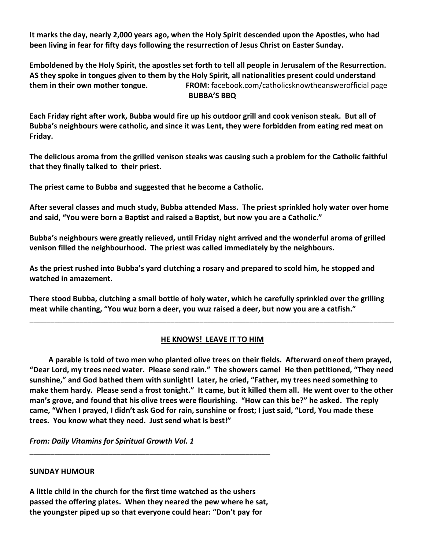**It marks the day, nearly 2,000 years ago, when the Holy Spirit descended upon the Apostles, who had been living in fear for fifty days following the resurrection of Jesus Christ on Easter Sunday.**

**Emboldened by the Holy Spirit, the apostles set forth to tell all people in Jerusalem of the Resurrection. AS they spoke in tongues given to them by the Holy Spirit, all nationalities present could understand them in their own mother tongue. FROM:** facebook.com/catholicsknowtheanswerofficial page **BUBBA'S BBQ**

**Each Friday right after work, Bubba would fire up his outdoor grill and cook venison steak. But all of Bubba's neighbours were catholic, and since it was Lent, they were forbidden from eating red meat on Friday.**

**The delicious aroma from the grilled venison steaks was causing such a problem for the Catholic faithful that they finally talked to their priest.**

**The priest came to Bubba and suggested that he become a Catholic.**

**After several classes and much study, Bubba attended Mass. The priest sprinkled holy water over home and said, "You were born a Baptist and raised a Baptist, but now you are a Catholic."**

**Bubba's neighbours were greatly relieved, until Friday night arrived and the wonderful aroma of grilled venison filled the neighbourhood. The priest was called immediately by the neighbours.**

**As the priest rushed into Bubba's yard clutching a rosary and prepared to scold him, he stopped and watched in amazement.**

**There stood Bubba, clutching a small bottle of holy water, which he carefully sprinkled over the grilling meat while chanting, "You wuz born a deer, you wuz raised a deer, but now you are a catfish."** 

### **HE KNOWS! LEAVE IT TO HIM**

\_\_\_\_\_\_\_\_\_\_\_\_\_\_\_\_\_\_\_\_\_\_\_\_\_\_\_\_\_\_\_\_\_\_\_\_\_\_\_\_\_\_\_\_\_\_\_\_\_\_\_\_\_\_\_\_\_\_\_\_\_\_\_\_\_\_\_\_\_\_\_\_\_\_\_\_\_\_\_\_\_\_\_\_\_\_\_\_

 **A parable is told of two men who planted olive trees on their fields. Afterward oneof them prayed, "Dear Lord, my trees need water. Please send rain." The showers came! He then petitioned, "They need sunshine," and God bathed them with sunlight! Later, he cried, "Father, my trees need something to make them hardy. Please send a frost tonight." It came, but it killed them all. He went over to the other man's grove, and found that his olive trees were flourishing. "How can this be?" he asked. The reply came, "When I prayed, I didn't ask God for rain, sunshine or frost; I just said, "Lord, You made these trees. You know what they need. Just send what is best!"**

*From: Daily Vitamins for Spiritual Growth Vol. 1*

### **SUNDAY HUMOUR**

**A little child in the church for the first time watched as the ushers passed the offering plates. When they neared the pew where he sat, the youngster piped up so that everyone could hear: "Don't pay for**

\_\_\_\_\_\_\_\_\_\_\_\_\_\_\_\_\_\_\_\_\_\_\_\_\_\_\_\_\_\_\_\_\_\_\_\_\_\_\_\_\_\_\_\_\_\_\_\_\_\_\_\_\_\_\_\_\_\_